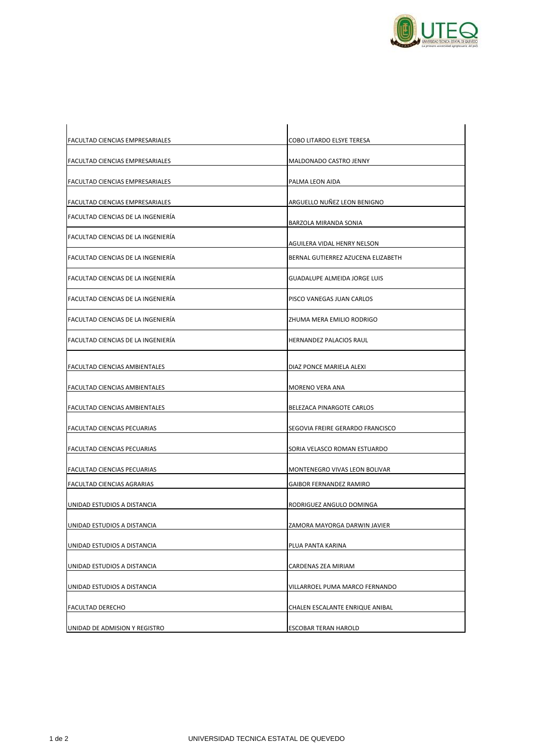

| FACULTAD CIENCIAS EMPRESARIALES    | COBO LITARDO ELSYE TERESA           |
|------------------------------------|-------------------------------------|
| FACULTAD CIENCIAS EMPRESARIALES    | MALDONADO CASTRO JENNY              |
| FACULTAD CIENCIAS EMPRESARIALES    | PALMA LEON AIDA                     |
| FACULTAD CIENCIAS EMPRESARIALES    | ARGUELLO NUÑEZ LEON BENIGNO         |
| FACULTAD CIENCIAS DE LA INGENIERÍA | BARZOLA MIRANDA SONIA               |
| FACULTAD CIENCIAS DE LA INGENIERÍA | AGUILERA VIDAL HENRY NELSON         |
| FACULTAD CIENCIAS DE LA INGENIERÍA | BERNAL GUTIERREZ AZUCENA ELIZABETH  |
| FACULTAD CIENCIAS DE LA INGENIERÍA | <b>GUADALUPE ALMEIDA JORGE LUIS</b> |
| FACULTAD CIENCIAS DE LA INGENIERÍA | PISCO VANEGAS JUAN CARLOS           |
| FACULTAD CIENCIAS DE LA INGENIERÍA | ZHUMA MERA EMILIO RODRIGO           |
| FACULTAD CIENCIAS DE LA INGENIERÍA | <b>HERNANDEZ PALACIOS RAUL</b>      |
| FACULTAD CIENCIAS AMBIENTALES      | DIAZ PONCE MARIELA ALEXI            |
| FACULTAD CIENCIAS AMBIENTALES      | MORENO VERA ANA                     |
| FACULTAD CIENCIAS AMBIENTALES      | BELEZACA PINARGOTE CARLOS           |
| <b>FACULTAD CIENCIAS PECUARIAS</b> | SEGOVIA FREIRE GERARDO FRANCISCO    |
| FACULTAD CIENCIAS PECUARIAS        | SORIA VELASCO ROMAN ESTUARDO        |
| FACULTAD CIENCIAS PECUARIAS        | MONTENEGRO VIVAS LEON BOLIVAR       |
| FACULTAD CIENCIAS AGRARIAS         | GAIBOR FERNANDEZ RAMIRO             |
| UNIDAD ESTUDIOS A DISTANCIA        | RODRIGUEZ ANGULO DOMINGA            |
| UNIDAD ESTUDIOS A DISTANCIA        | ZAMORA MAYORGA DARWIN JAVIER        |
| UNIDAD ESTUDIOS A DISTANCIA        | PLUA PANTA KARINA                   |
| UNIDAD ESTUDIOS A DISTANCIA        | CARDENAS ZEA MIRIAM                 |
| UNIDAD ESTUDIOS A DISTANCIA        | VILLARROEL PUMA MARCO FERNANDO      |
| FACULTAD DERECHO                   | CHALEN ESCALANTE ENRIQUE ANIBAL     |
| UNIDAD DE ADMISION Y REGISTRO      | <b>ESCOBAR TERAN HAROLD</b>         |